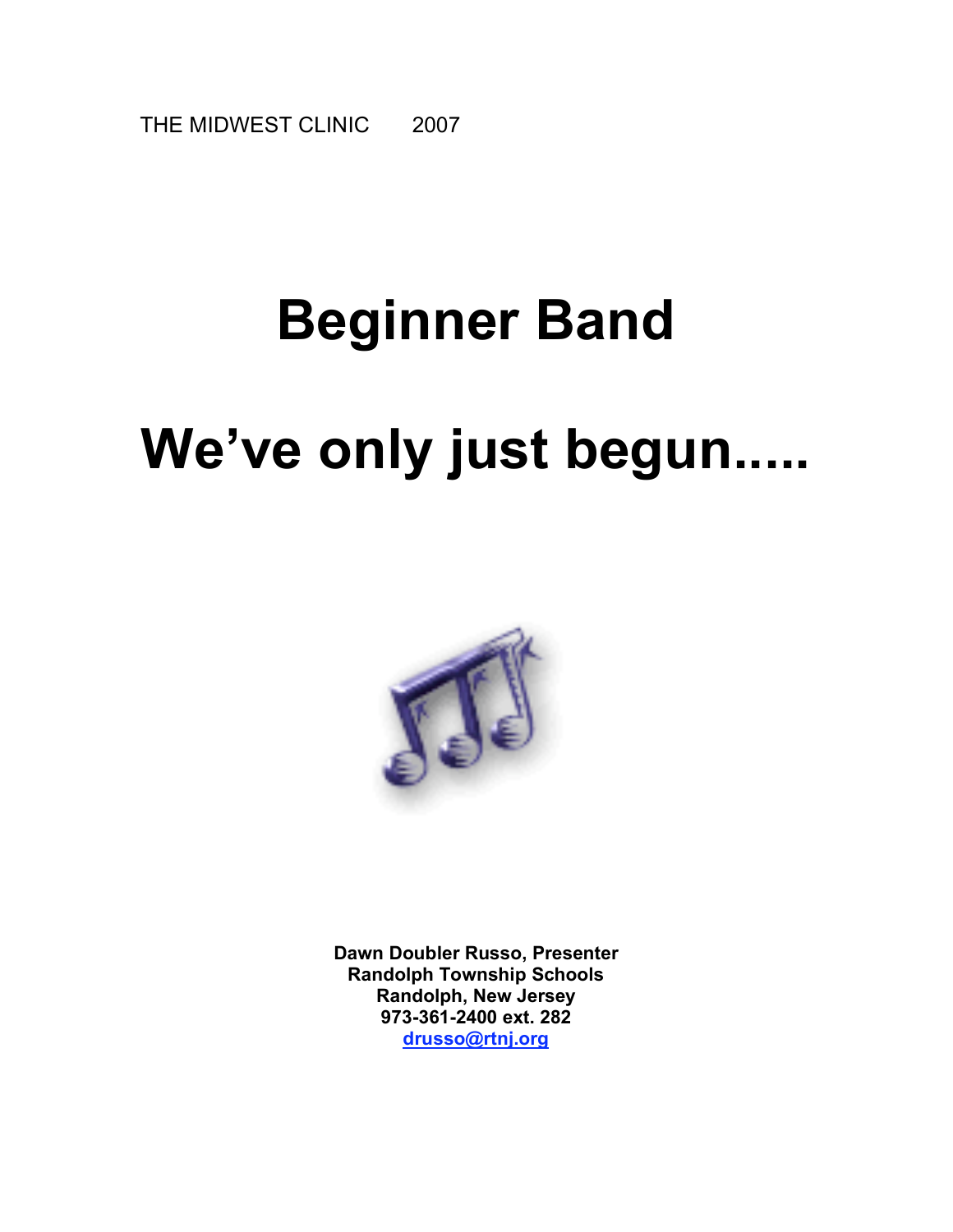THE MIDWEST CLINIC 2007

# **Beginner Band**

# **We've only just begun.....**



**Dawn Doubler Russo, Presenter Randolph Township Schools Randolph, New Jersey 973-361-2400 ext. 282 drusso@rtnj.org**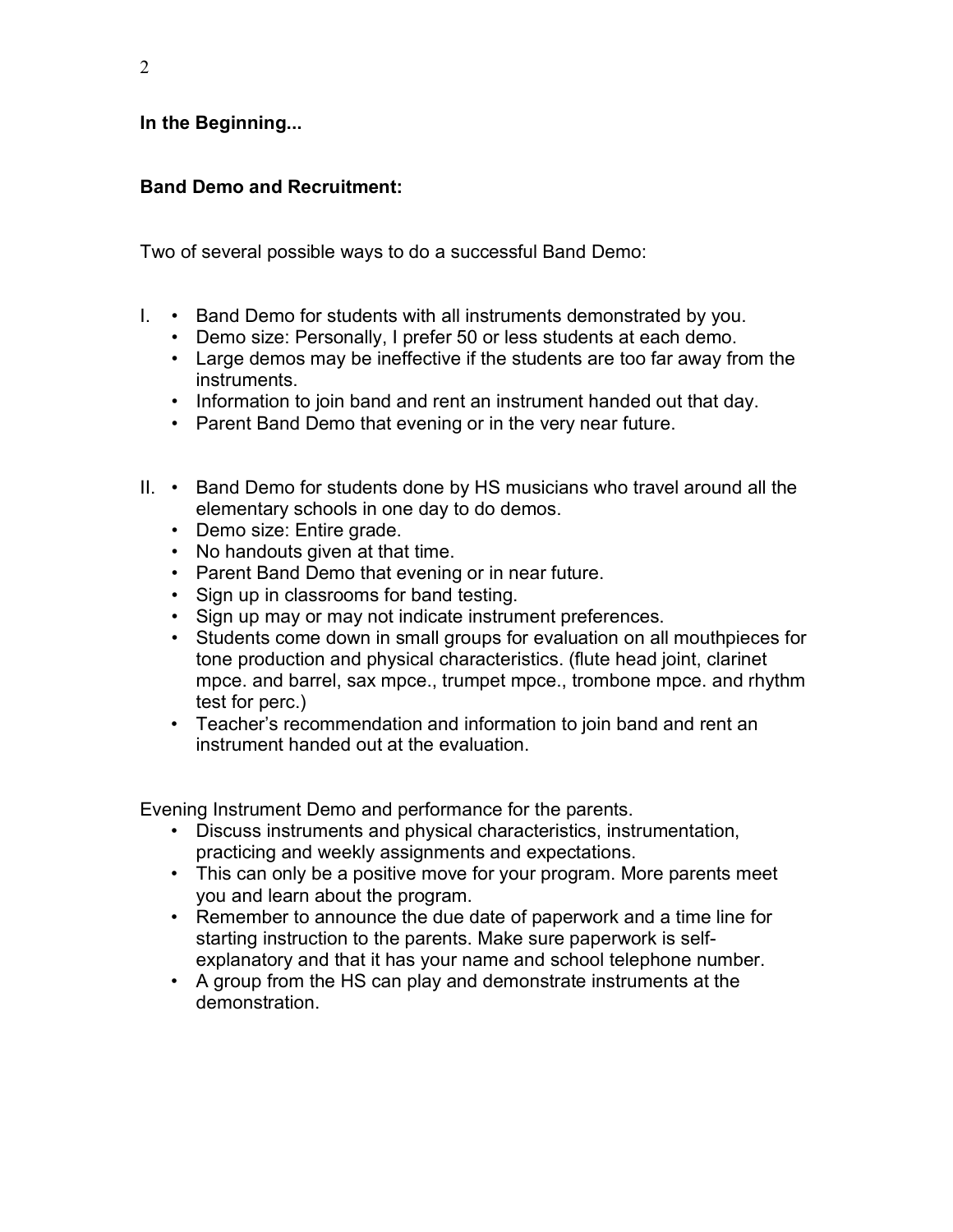### **In the Beginning...**

# **Band Demo and Recruitment:**

Two of several possible ways to do a successful Band Demo:

- I. Band Demo for students with all instruments demonstrated by you.
	- Demo size: Personally, I prefer 50 or less students at each demo.
	- Large demos may be ineffective if the students are too far away from the instruments.
	- Information to join band and rent an instrument handed out that day.
	- Parent Band Demo that evening or in the very near future.
- II. Band Demo for students done by HS musicians who travel around all the elementary schools in one day to do demos.
	- Demo size: Entire grade.
	- No handouts given at that time.
	- Parent Band Demo that evening or in near future.
	- Sign up in classrooms for band testing.
	- Sign up may or may not indicate instrument preferences.
	- Students come down in small groups for evaluation on all mouthpieces for tone production and physical characteristics. (flute head joint, clarinet mpce. and barrel, sax mpce., trumpet mpce., trombone mpce. and rhythm test for perc.)
	- Teacher's recommendation and information to join band and rent an instrument handed out at the evaluation.

Evening Instrument Demo and performance for the parents.

- Discuss instruments and physical characteristics, instrumentation, practicing and weekly assignments and expectations.
- This can only be a positive move for your program. More parents meet you and learn about the program.
- Remember to announce the due date of paperwork and a time line for starting instruction to the parents. Make sure paperwork is selfexplanatory and that it has your name and school telephone number.
- A group from the HS can play and demonstrate instruments at the demonstration.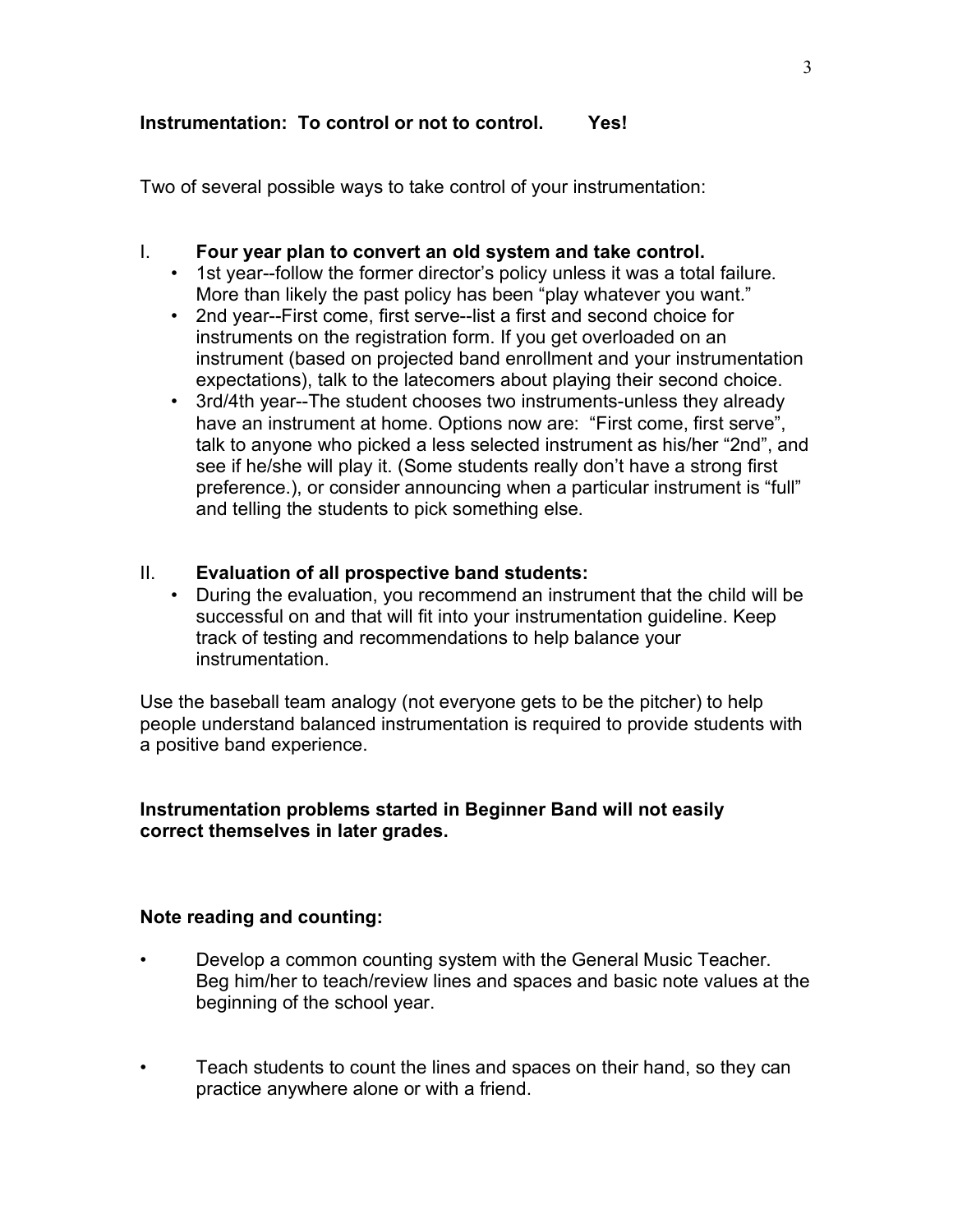# **Instrumentation: To control or not to control. Yes!**

Two of several possible ways to take control of your instrumentation:

### I. **Four year plan to convert an old system and take control.**

- 1st year--follow the former director's policy unless it was a total failure. More than likely the past policy has been "play whatever you want."
- 2nd year--First come, first serve--list a first and second choice for instruments on the registration form. If you get overloaded on an instrument (based on projected band enrollment and your instrumentation expectations), talk to the latecomers about playing their second choice.
- 3rd/4th year--The student chooses two instruments-unless they already have an instrument at home. Options now are: "First come, first serve", talk to anyone who picked a less selected instrument as his/her "2nd", and see if he/she will play it. (Some students really don't have a strong first preference.), or consider announcing when a particular instrument is "full" and telling the students to pick something else.

# II. **Evaluation of all prospective band students:**

• During the evaluation, you recommend an instrument that the child will be successful on and that will fit into your instrumentation guideline. Keep track of testing and recommendations to help balance your instrumentation.

Use the baseball team analogy (not everyone gets to be the pitcher) to help people understand balanced instrumentation is required to provide students with a positive band experience.

#### **Instrumentation problems started in Beginner Band will not easily correct themselves in later grades.**

#### **Note reading and counting:**

- Develop a common counting system with the General Music Teacher. Beg him/her to teach/review lines and spaces and basic note values at the beginning of the school year.
- Teach students to count the lines and spaces on their hand, so they can practice anywhere alone or with a friend.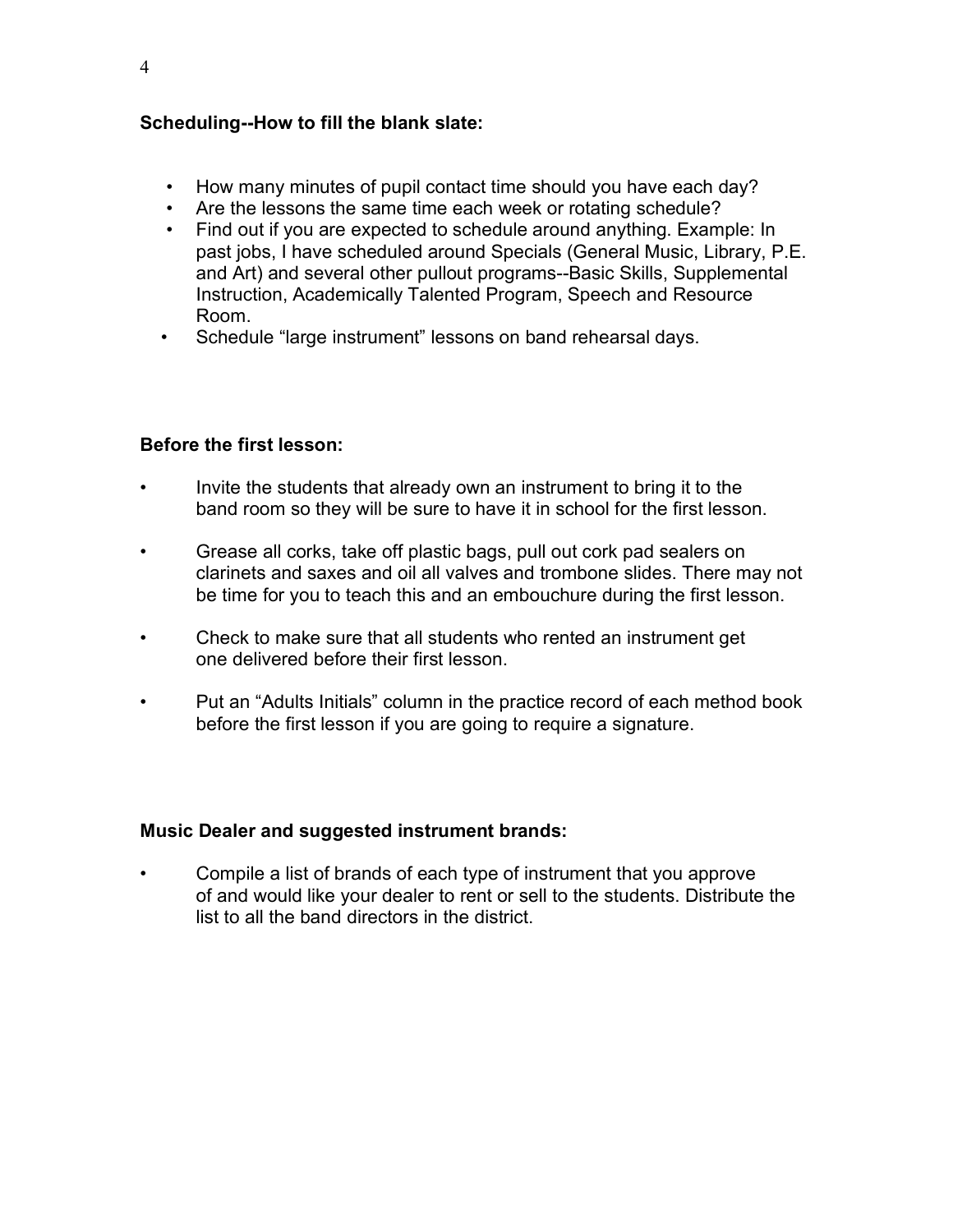# **Scheduling--How to fill the blank slate:**

- How many minutes of pupil contact time should you have each day?
- Are the lessons the same time each week or rotating schedule?
- Find out if you are expected to schedule around anything. Example: In past jobs, I have scheduled around Specials (General Music, Library, P.E. and Art) and several other pullout programs--Basic Skills, Supplemental Instruction, Academically Talented Program, Speech and Resource Room.
- Schedule "large instrument" lessons on band rehearsal days.

# **Before the first lesson:**

- Invite the students that already own an instrument to bring it to the band room so they will be sure to have it in school for the first lesson.
- Grease all corks, take off plastic bags, pull out cork pad sealers on clarinets and saxes and oil all valves and trombone slides. There may not be time for you to teach this and an embouchure during the first lesson.
- Check to make sure that all students who rented an instrument get one delivered before their first lesson.
- Put an "Adults Initials" column in the practice record of each method book before the first lesson if you are going to require a signature.

#### **Music Dealer and suggested instrument brands:**

• Compile a list of brands of each type of instrument that you approve of and would like your dealer to rent or sell to the students. Distribute the list to all the band directors in the district.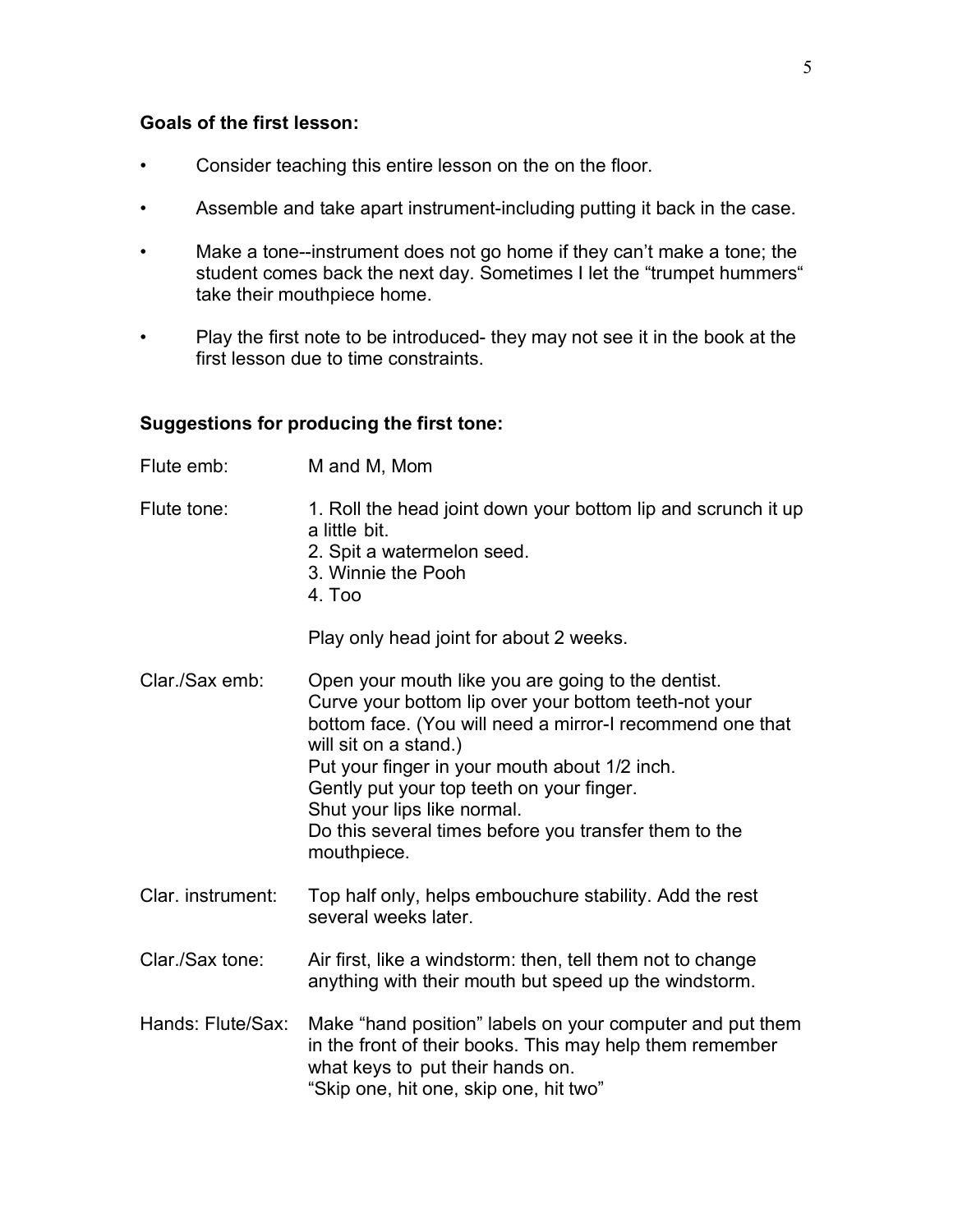#### **Goals of the first lesson:**

- Consider teaching this entire lesson on the on the floor.
- Assemble and take apart instrument-including putting it back in the case.
- Make a tone--instrument does not go home if they can't make a tone; the student comes back the next day. Sometimes I let the "trumpet hummers" take their mouthpiece home.
- Play the first note to be introduced- they may not see it in the book at the first lesson due to time constraints.

# **Suggestions for producing the first tone:**

| Flute emb:        | M and M, Mom                                                                                                                                                                                                                                                                                                                                                                                           |
|-------------------|--------------------------------------------------------------------------------------------------------------------------------------------------------------------------------------------------------------------------------------------------------------------------------------------------------------------------------------------------------------------------------------------------------|
| Flute tone:       | 1. Roll the head joint down your bottom lip and scrunch it up<br>a little bit.<br>2. Spit a watermelon seed.<br>3. Winnie the Pooh<br>4. Too                                                                                                                                                                                                                                                           |
|                   | Play only head joint for about 2 weeks.                                                                                                                                                                                                                                                                                                                                                                |
| Clar./Sax emb:    | Open your mouth like you are going to the dentist.<br>Curve your bottom lip over your bottom teeth-not your<br>bottom face. (You will need a mirror-I recommend one that<br>will sit on a stand.)<br>Put your finger in your mouth about 1/2 inch.<br>Gently put your top teeth on your finger.<br>Shut your lips like normal.<br>Do this several times before you transfer them to the<br>mouthpiece. |
| Clar. instrument: | Top half only, helps embouchure stability. Add the rest<br>several weeks later.                                                                                                                                                                                                                                                                                                                        |
| Clar./Sax tone:   | Air first, like a windstorm: then, tell them not to change<br>anything with their mouth but speed up the windstorm.                                                                                                                                                                                                                                                                                    |
| Hands: Flute/Sax: | Make "hand position" labels on your computer and put them<br>in the front of their books. This may help them remember<br>what keys to put their hands on.<br>"Skip one, hit one, skip one, hit two"                                                                                                                                                                                                    |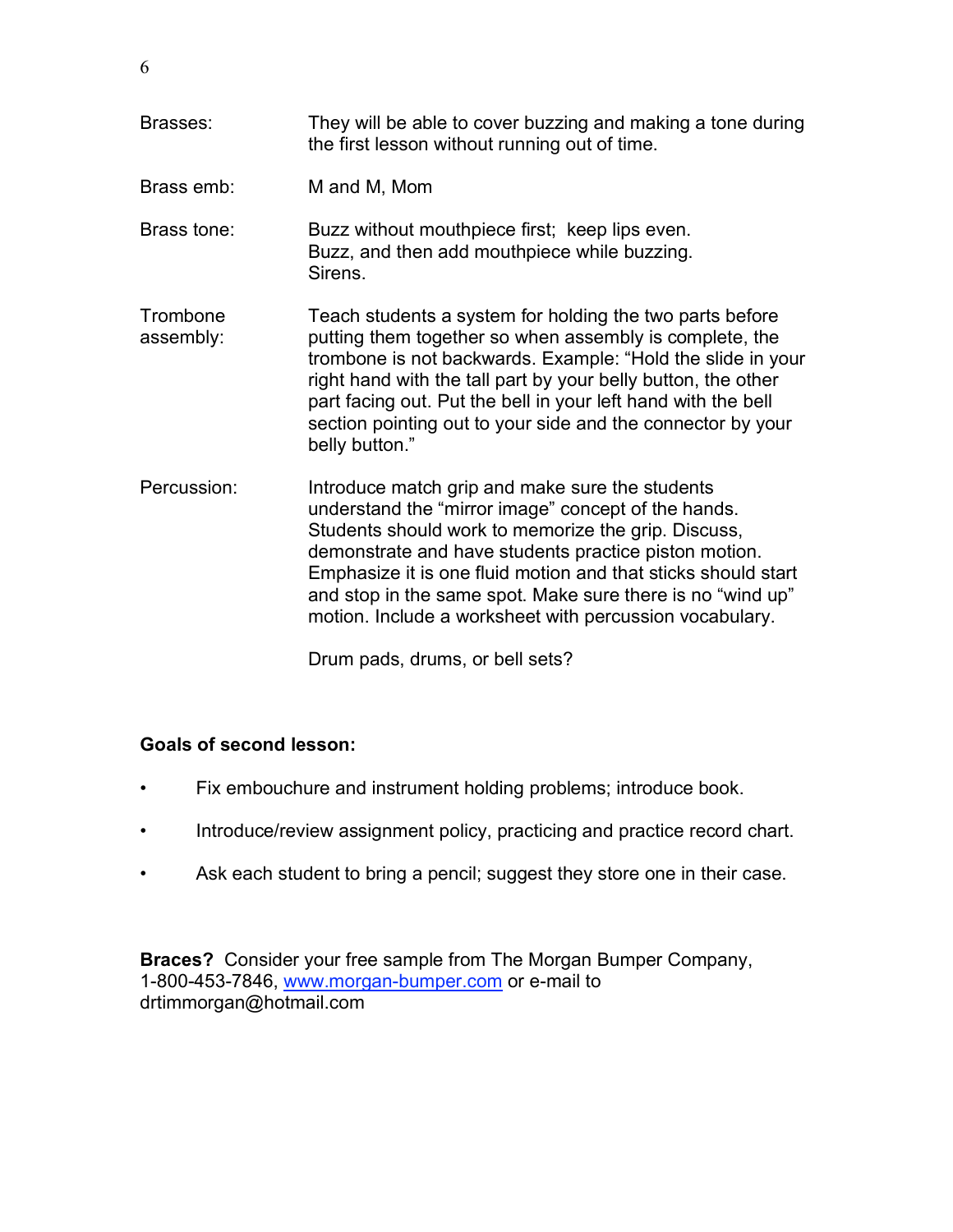Brasses: They will be able to cover buzzing and making a tone during the first lesson without running out of time. Brass emb: M and M, Mom Brass tone: Buzz without mouthpiece first; keep lips even. Buzz, and then add mouthpiece while buzzing. **Sirens** Trombone Teach students a system for holding the two parts before assembly: putting them together so when assembly is complete, the trombone is not backwards. Example: "Hold the slide in your right hand with the tall part by your belly button, the other part facing out. Put the bell in your left hand with the bell section pointing out to your side and the connector by your belly button." Percussion: Introduce match grip and make sure the students understand the "mirror image" concept of the hands. Students should work to memorize the grip. Discuss, demonstrate and have students practice piston motion. Emphasize it is one fluid motion and that sticks should start and stop in the same spot. Make sure there is no "wind up" motion. Include a worksheet with percussion vocabulary.

Drum pads, drums, or bell sets?

# **Goals of second lesson:**

- Fix embouchure and instrument holding problems; introduce book.
- Introduce/review assignment policy, practicing and practice record chart.
- Ask each student to bring a pencil; suggest they store one in their case.

**Braces?** Consider your free sample from The Morgan Bumper Company, 1-800-453-7846, www.morgan-bumper.com or e-mail to drtimmorgan@hotmail.com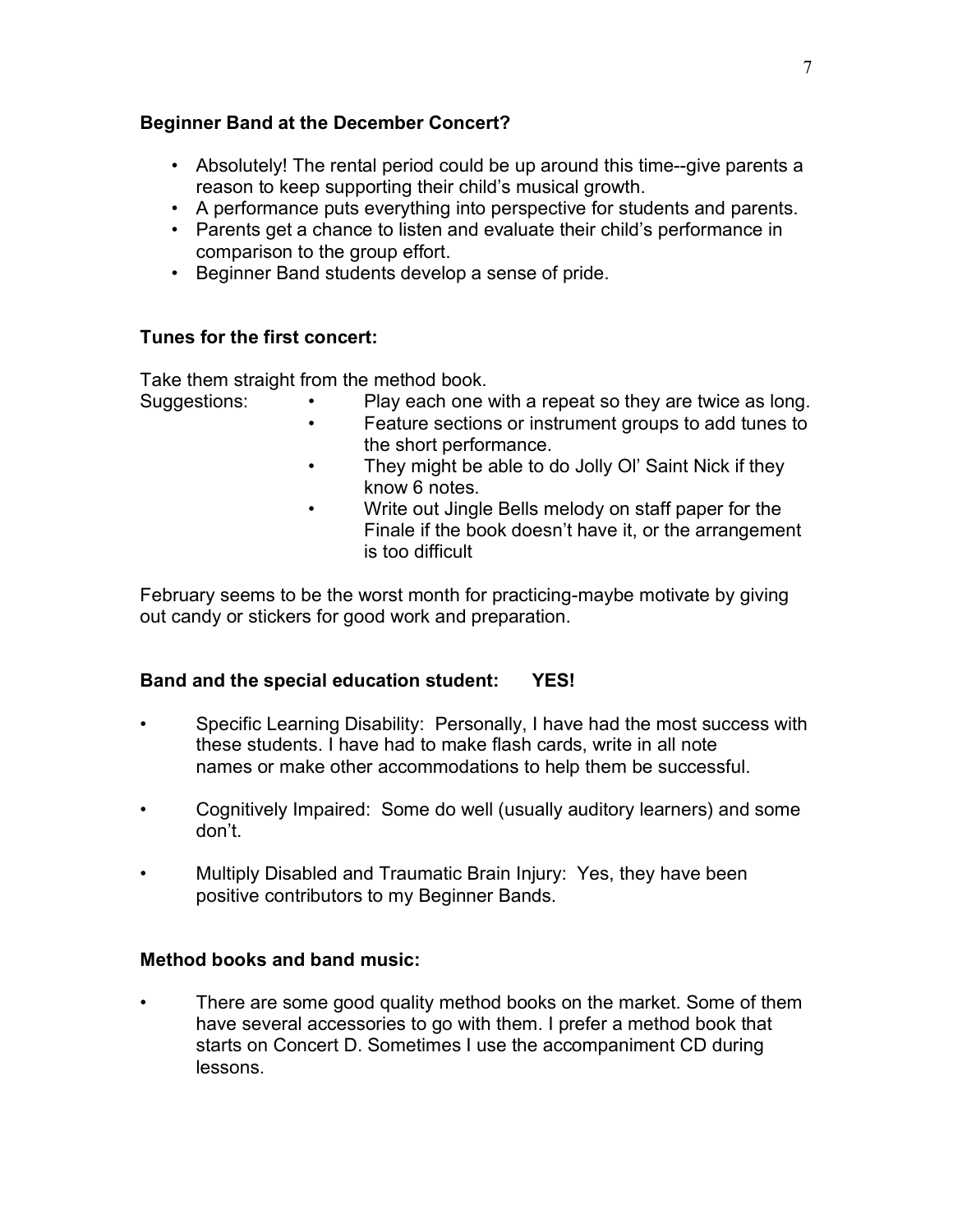### **Beginner Band at the December Concert?**

- Absolutely! The rental period could be up around this time--give parents a reason to keep supporting their child's musical growth.
- A performance puts everything into perspective for students and parents.
- Parents get a chance to listen and evaluate their child's performance in comparison to the group effort.
- Beginner Band students develop a sense of pride.

# **Tunes for the first concert:**

Take them straight from the method book.

- Suggestions: Play each one with a repeat so they are twice as long.
	- Feature sections or instrument groups to add tunes to the short performance.
	- They might be able to do Jolly Ol' Saint Nick if they know 6 notes.
	- Write out Jingle Bells melody on staff paper for the Finale if the book doesn't have it, or the arrangement is too difficult

February seems to be the worst month for practicing-maybe motivate by giving out candy or stickers for good work and preparation.

# **Band and the special education student: YES!**

- Specific Learning Disability: Personally, I have had the most success with these students. I have had to make flash cards, write in all note names or make other accommodations to help them be successful.
- Cognitively Impaired: Some do well (usually auditory learners) and some don't.
- Multiply Disabled and Traumatic Brain Injury: Yes, they have been positive contributors to my Beginner Bands.

# **Method books and band music:**

• There are some good quality method books on the market. Some of them have several accessories to go with them. I prefer a method book that starts on Concert D. Sometimes I use the accompaniment CD during lessons.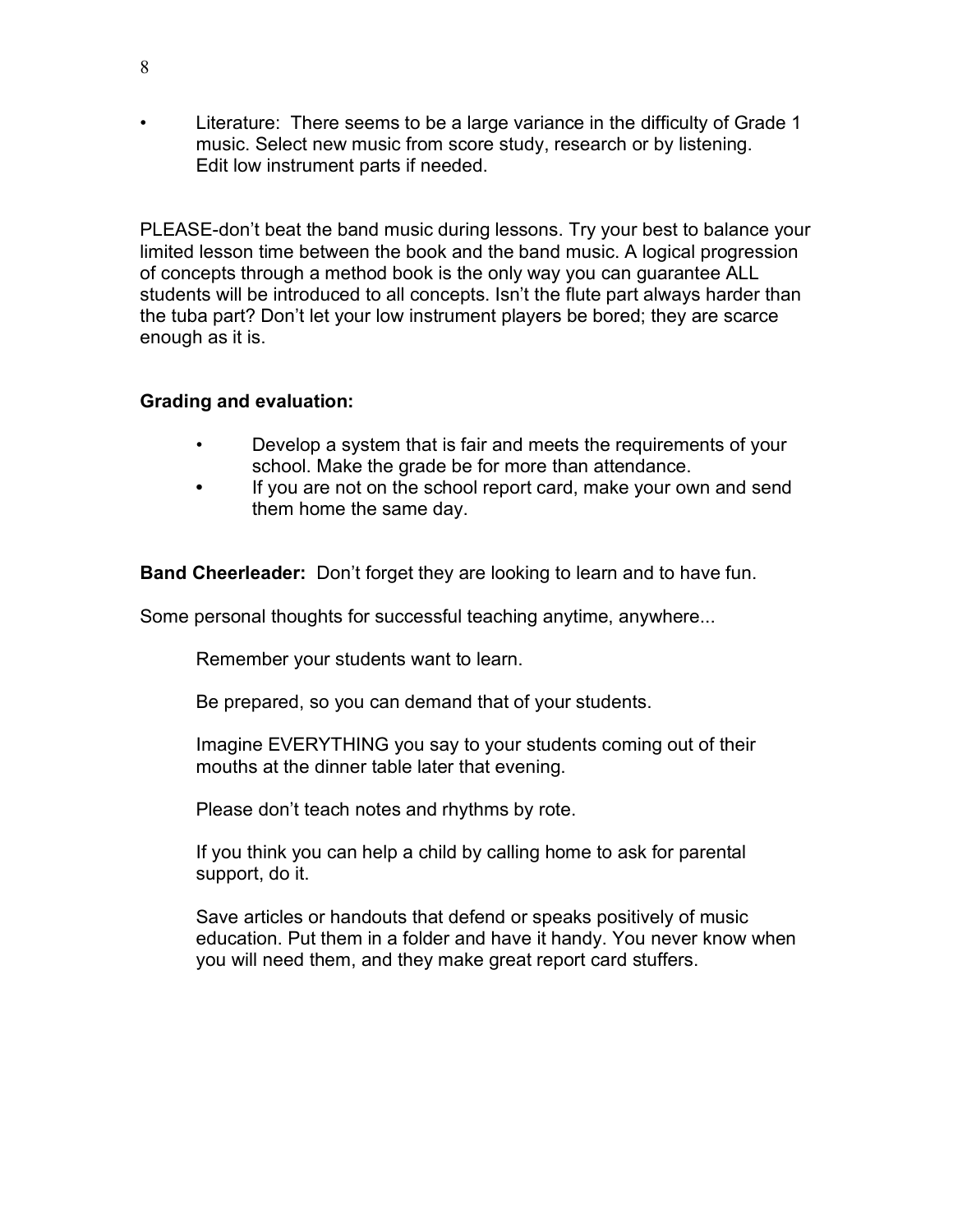• Literature: There seems to be a large variance in the difficulty of Grade 1 music. Select new music from score study, research or by listening. Edit low instrument parts if needed.

PLEASE-don't beat the band music during lessons. Try your best to balance your limited lesson time between the book and the band music. A logical progression of concepts through a method book is the only way you can guarantee ALL students will be introduced to all concepts. Isn't the flute part always harder than the tuba part? Don't let your low instrument players be bored; they are scarce enough as it is.

# **Grading and evaluation:**

- Develop a system that is fair and meets the requirements of your school. Make the grade be for more than attendance.
- **•** If you are not on the school report card, make your own and send them home the same day.

**Band Cheerleader:** Don't forget they are looking to learn and to have fun.

Some personal thoughts for successful teaching anytime, anywhere...

Remember your students want to learn.

Be prepared, so you can demand that of your students.

Imagine EVERYTHING you say to your students coming out of their mouths at the dinner table later that evening.

Please don't teach notes and rhythms by rote.

If you think you can help a child by calling home to ask for parental support, do it.

Save articles or handouts that defend or speaks positively of music education. Put them in a folder and have it handy. You never know when you will need them, and they make great report card stuffers.